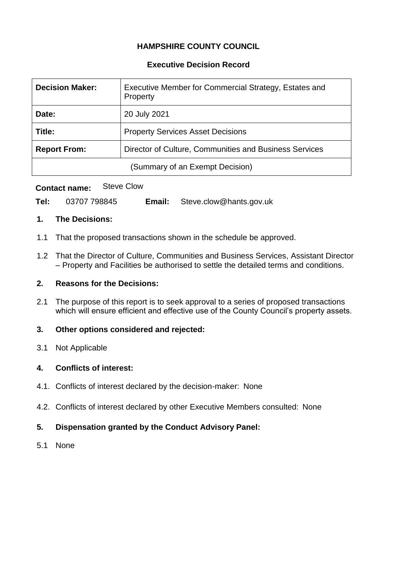# **HAMPSHIRE COUNTY COUNCIL**

# **Executive Decision Record**

| <b>Decision Maker:</b>          | Executive Member for Commercial Strategy, Estates and<br>Property |  |
|---------------------------------|-------------------------------------------------------------------|--|
| Date:                           | 20 July 2021                                                      |  |
| Title:                          | <b>Property Services Asset Decisions</b>                          |  |
| <b>Report From:</b>             | Director of Culture, Communities and Business Services            |  |
| (Summary of an Exempt Decision) |                                                                   |  |

# **Contact name:** Steve Clow

| Tel: | 03707 798845 | Email: | Steve.clow@hants.gov.uk |
|------|--------------|--------|-------------------------|
|------|--------------|--------|-------------------------|

#### **1. The Decisions:**

- 1.1 That the proposed transactions shown in the schedule be approved.
- 1.2 That the Director of Culture, Communities and Business Services, Assistant Director – Property and Facilities be authorised to settle the detailed terms and conditions.

# **2. Reasons for the Decisions:**

2.1 The purpose of this report is to seek approval to a series of proposed transactions which will ensure efficient and effective use of the County Council's property assets.

# **3. Other options considered and rejected:**

3.1 Not Applicable

# **4. Conflicts of interest:**

- 4.1. Conflicts of interest declared by the decision-maker: None
- 4.2. Conflicts of interest declared by other Executive Members consulted: None

# **5. Dispensation granted by the Conduct Advisory Panel:**

5.1 None